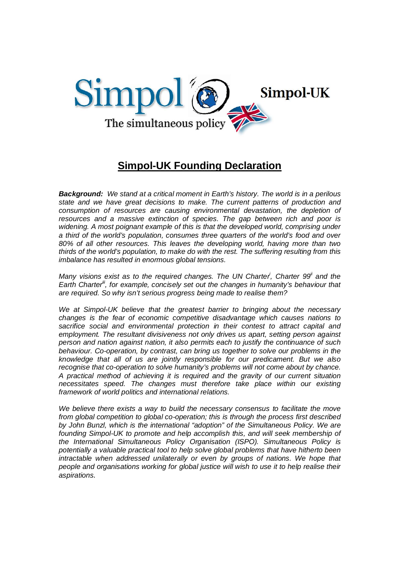

# **Simpol-UK Founding Declaration**

*Background: We stand at a critical moment in Earth's history. The world is in a perilous state and we have great decisions to make. The current patterns of production and consumption of resources are causing environmental devastation, the depletion of resources and a massive extinction of species. The gap between rich and poor is widening. A most poignant example of this is that the developed world, comprising under a third of the world's population, consumes three quarters of the world's food and over 80% of all other resources. This leaves the developing world, having more than two thirds of the world's population, to make do with the rest. The suffering resulting from this imbalance has resulted in enormous global tensions.* 

*Many visions exist as to the required changes. The UN Charter<sup>i</sup>, Charter 99<sup><i>i*</sup> and the *Earth Charter<sup>ii</sup>*, for example, concisely set out the changes in humanity's behaviour that *are required. So why isn't serious progress being made to realise them?*

*We at Simpol-UK believe that the greatest barrier to bringing about the necessary changes is the fear of economic competitive disadvantage which causes nations to sacrifice social and environmental protection in their contest to attract capital and employment. The resultant divisiveness not only drives us apart, setting person against person and nation against nation, it also permits each to justify the continuance of such behaviour. Co-operation, by contrast, can bring us together to solve our problems in the knowledge that all of us are jointly responsible for our predicament. But we also recognise that co-operation to solve humanity's problems will not come about by chance. A practical method of achieving it is required and the gravity of our current situation necessitates speed. The changes must therefore take place within our existing framework of world politics and international relations.*

*We believe there exists a way to build the necessary consensus to facilitate the move from global competition to global co-operation; this is through the process first described by John Bunzl, which is the international "adoption" of the Simultaneous Policy. We are*  founding Simpol-UK to promote and help accomplish this, and will seek membership of *the International Simultaneous Policy Organisation (ISPO). Simultaneous Policy is potentially a valuable practical tool to help solve global problems that have hitherto been intractable when addressed unilaterally or even by groups of nations. We hope that people and organisations working for global justice will wish to use it to help realise their aspirations.*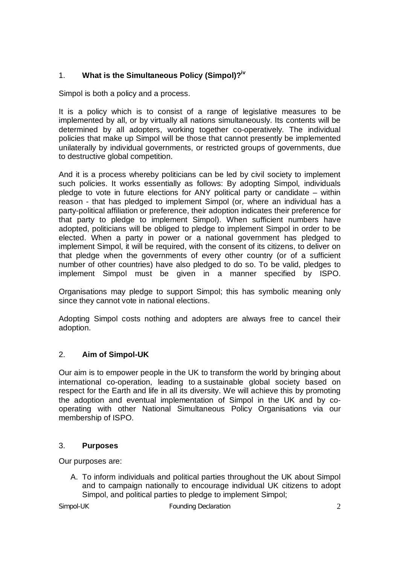## 1. **What is the Simultaneous Policy (Simpol)?iv**

Simpol is both a policy and a process.

It is a policy which is to consist of a range of legislative measures to be implemented by all, or by virtually all nations simultaneously. Its contents will be determined by all adopters, working together co-operatively. The individual policies that make up Simpol will be those that cannot presently be implemented unilaterally by individual governments, or restricted groups of governments, due to destructive global competition.

And it is a process whereby politicians can be led by civil society to implement such policies. It works essentially as follows: By adopting Simpol, individuals pledge to vote in future elections for ANY political party or candidate – within reason - that has pledged to implement Simpol (or, where an individual has a party-political affiliation or preference, their adoption indicates their preference for that party to pledge to implement Simpol). When sufficient numbers have adopted, politicians will be obliged to pledge to implement Simpol in order to be elected. When a party in power or a national government has pledged to implement Simpol, it will be required, with the consent of its citizens, to deliver on that pledge when the governments of every other country (or of a sufficient number of other countries) have also pledged to do so. To be valid, pledges to implement Simpol must be given in a manner specified by ISPO.

Organisations may pledge to support Simpol; this has symbolic meaning only since they cannot vote in national elections.

Adopting Simpol costs nothing and adopters are always free to cancel their adoption.

## 2. **Aim of Simpol-UK**

Our aim is to empower people in the UK to transform the world by bringing about international co-operation, leading to a sustainable global society based on respect for the Earth and life in all its diversity. We will achieve this by promoting the adoption and eventual implementation of Simpol in the UK and by cooperating with other National Simultaneous Policy Organisations via our membership of ISPO.

#### 3. **Purposes**

Our purposes are:

A. To inform individuals and political parties throughout the UK about Simpol and to campaign nationally to encourage individual UK citizens to adopt Simpol, and political parties to pledge to implement Simpol;

*Simpol-UK Founding Declaration* 2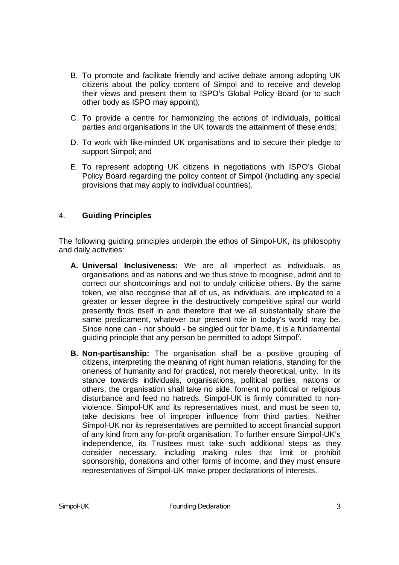- B. To promote and facilitate friendly and active debate among adopting UK citizens about the policy content of Simpol and to receive and develop their views and present them to ISPO's Global Policy Board (or to such other body as ISPO may appoint);
- C. To provide a centre for harmonizing the actions of individuals, political parties and organisations in the UK towards the attainment of these ends;
- D. To work with like-minded UK organisations and to secure their pledge to support Simpol; and
- E. To represent adopting UK citizens in negotiations with ISPO's Global Policy Board regarding the policy content of Simpol (including any special provisions that may apply to individual countries).

#### 4. **Guiding Principles**

The following guiding principles underpin the ethos of Simpol-UK, its philosophy and daily activities:

- **A. Universal Inclusiveness:** We are all imperfect as individuals, as organisations and as nations and we thus strive to recognise, admit and to correct our shortcomings and not to unduly criticise others. By the same token, we also recognise that all of us, as individuals, are implicated to a greater or lesser degree in the destructively competitive spiral our world presently finds itself in and therefore that we all substantially share the same predicament, whatever our present role in today's world may be. Since none can - nor should - be singled out for blame, it is a fundamental guiding principle that any person be permitted to adopt Simpol<sup>v</sup>.
- **B. Non-partisanship:** The organisation shall be a positive grouping of citizens, interpreting the meaning of right human relations, standing for the oneness of humanity and for practical, not merely theoretical, unity.In its stance towards individuals, organisations, political parties, nations or others, the organisation shall take no side, foment no political or religious disturbance and feed no hatreds. Simpol-UK is firmly committed to nonviolence. Simpol-UK and its representatives must, and must be seen to, take decisions free of improper influence from third parties. Neither Simpol-UK nor its representatives are permitted to accept financial support of any kind from any for-profit organisation. To further ensure Simpol-UK's independence, its Trustees must take such additional steps as they consider necessary, including making rules that limit or prohibit sponsorship, donations and other forms of income, and they must ensure representatives of Simpol-UK make proper declarations of interests.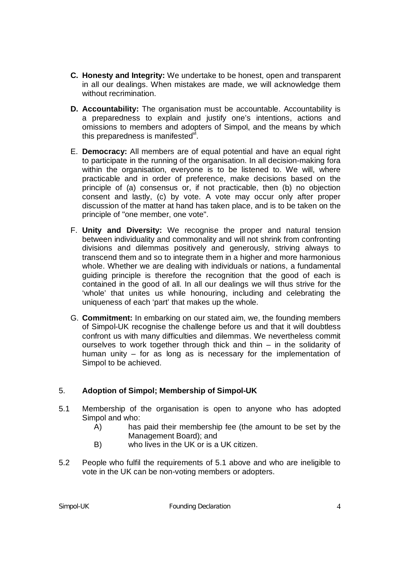- **C. Honesty and Integrity:** We undertake to be honest, open and transparent in all our dealings. When mistakes are made, we will acknowledge them without recrimination.
- **D. Accountability:** The organisation must be accountable. Accountability is a preparedness to explain and justify one's intentions, actions and omissions to members and adopters of Simpol, and the means by which this preparedness is manifested $\check{}}$ .
- E. **Democracy:** All members are of equal potential and have an equal right to participate in the running of the organisation. In all decision-making fora within the organisation, everyone is to be listened to. We will, where practicable and in order of preference, make decisions based on the principle of (a) consensus or, if not practicable, then (b) no objection consent and lastly, (c) by vote. A vote may occur only after proper discussion of the matter at hand has taken place, and is to be taken on the principle of "one member, one vote".
- F. **Unity and Diversity:** We recognise the proper and natural tension between individuality and commonality and will not shrink from confronting divisions and dilemmas positively and generously, striving always to transcend them and so to integrate them in a higher and more harmonious whole. Whether we are dealing with individuals or nations, a fundamental guiding principle is therefore the recognition that the good of each is contained in the good of all. In all our dealings we will thus strive for the 'whole' that unites us while honouring, including and celebrating the uniqueness of each 'part' that makes up the whole.
- G. **Commitment:** In embarking on our stated aim, we, the founding members of Simpol-UK recognise the challenge before us and that it will doubtless confront us with many difficulties and dilemmas. We nevertheless commit ourselves to work together through thick and thin – in the solidarity of human unity – for as long as is necessary for the implementation of Simpol to be achieved.

## 5. **Adoption of Simpol; Membership of Simpol-UK**

- 5.1 Membership of the organisation is open to anyone who has adopted Simpol and who:
	- A) has paid their membership fee (the amount to be set by the Management Board); and
	- B) who lives in the UK or is a UK citizen.
- 5.2 People who fulfil the requirements of 5.1 above and who are ineligible to vote in the UK can be non-voting members or adopters.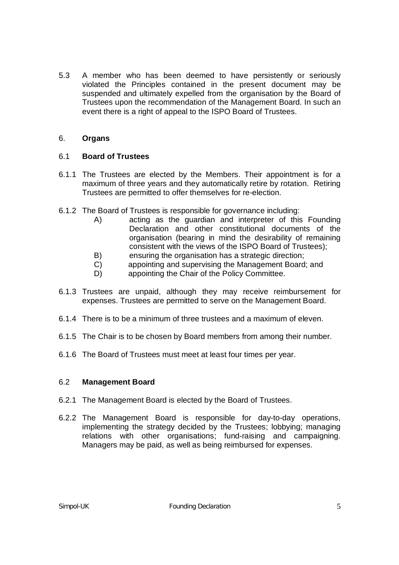5.3 A member who has been deemed to have persistently or seriously violated the Principles contained in the present document may be suspended and ultimately expelled from the organisation by the Board of Trustees upon the recommendation of the Management Board. In such an event there is a right of appeal to the ISPO Board of Trustees.

#### 6. **Organs**

#### 6.1 **Board of Trustees**

- 6.1.1 The Trustees are elected by the Members. Their appointment is for a maximum of three years and they automatically retire by rotation. Retiring Trustees are permitted to offer themselves for re-election.
- 6.1.2 The Board of Trustees is responsible for governance including:
	- A) acting as the guardian and interpreter of this Founding Declaration and other constitutional documents of the organisation (bearing in mind the desirability of remaining consistent with the views of the ISPO Board of Trustees);
	- B) ensuring the organisation has a strategic direction;
	- C) appointing and supervising the Management Board; and
	- D) appointing the Chair of the Policy Committee.
- 6.1.3 Trustees are unpaid, although they may receive reimbursement for expenses. Trustees are permitted to serve on the Management Board.
- 6.1.4 There is to be a minimum of three trustees and a maximum of eleven.
- 6.1.5 The Chair is to be chosen by Board members from among their number.
- 6.1.6 The Board of Trustees must meet at least four times per year.

#### 6.2 **Management Board**

- 6.2.1 The Management Board is elected by the Board of Trustees.
- 6.2.2 The Management Board is responsible for day-to-day operations, implementing the strategy decided by the Trustees; lobbying; managing relations with other organisations; fund-raising and campaigning. Managers may be paid, as well as being reimbursed for expenses.